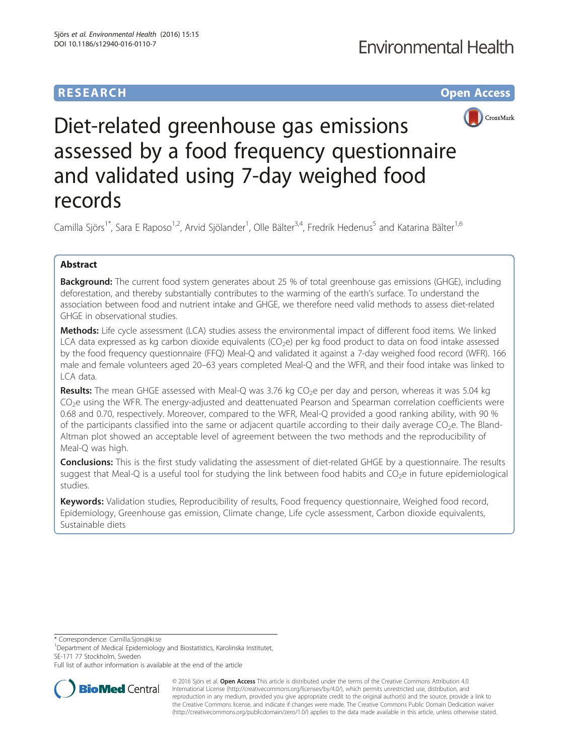## **RESEARCH CHE Open Access**



# Diet-related greenhouse gas emissions assessed by a food frequency questionnaire and validated using 7-day weighed food records

Camilla Sjörs<sup>1\*</sup>, Sara E Raposo<sup>1,2</sup>, Arvid Sjölander<sup>1</sup>, Olle Bälter<sup>3,4</sup>, Fredrik Hedenus<sup>5</sup> and Katarina Bälter<sup>1,6</sup>

## Abstract

**Background:** The current food system generates about 25 % of total greenhouse gas emissions (GHGE), including deforestation, and thereby substantially contributes to the warming of the earth's surface. To understand the association between food and nutrient intake and GHGE, we therefore need valid methods to assess diet-related GHGE in observational studies.

Methods: Life cycle assessment (LCA) studies assess the environmental impact of different food items. We linked LCA data expressed as kg carbon dioxide equivalents ( $CO<sub>2</sub>e$ ) per kg food product to data on food intake assessed by the food frequency questionnaire (FFQ) Meal-Q and validated it against a 7-day weighed food record (WFR). 166 male and female volunteers aged 20–63 years completed Meal-Q and the WFR, and their food intake was linked to LCA data.

**Results:** The mean GHGE assessed with Meal-Q was 3.76 kg  $CO_2e$  per day and person, whereas it was 5.04 kg CO<sub>2</sub>e using the WFR. The energy-adjusted and deattenuated Pearson and Spearman correlation coefficients were 0.68 and 0.70, respectively. Moreover, compared to the WFR, Meal-Q provided a good ranking ability, with 90 % of the participants classified into the same or adjacent quartile according to their daily average  $CO<sub>2</sub>e$ . The Bland-Altman plot showed an acceptable level of agreement between the two methods and the reproducibility of Meal-Q was high.

**Conclusions:** This is the first study validating the assessment of diet-related GHGE by a questionnaire. The results suggest that Meal-Q is a useful tool for studying the link between food habits and CO<sub>2</sub>e in future epidemiological studies.

Keywords: Validation studies, Reproducibility of results, Food frequency questionnaire, Weighed food record, Epidemiology, Greenhouse gas emission, Climate change, Life cycle assessment, Carbon dioxide equivalents, Sustainable diets

\* Correspondence: [Camilla.Sjors@ki.se](mailto:Camilla.Sjors@ki.se) <sup>1</sup>

<sup>1</sup>Department of Medical Epidemiology and Biostatistics, Karolinska Institutet, SE-171 77 Stockholm, Sweden

Full list of author information is available at the end of the article



© 2016 Sjörs et al. Open Access This article is distributed under the terms of the Creative Commons Attribution 4.0 International License [\(http://creativecommons.org/licenses/by/4.0/](http://creativecommons.org/licenses/by/4.0/)), which permits unrestricted use, distribution, and reproduction in any medium, provided you give appropriate credit to the original author(s) and the source, provide a link to the Creative Commons license, and indicate if changes were made. The Creative Commons Public Domain Dedication waiver [\(http://creativecommons.org/publicdomain/zero/1.0/](http://creativecommons.org/publicdomain/zero/1.0/)) applies to the data made available in this article, unless otherwise stated.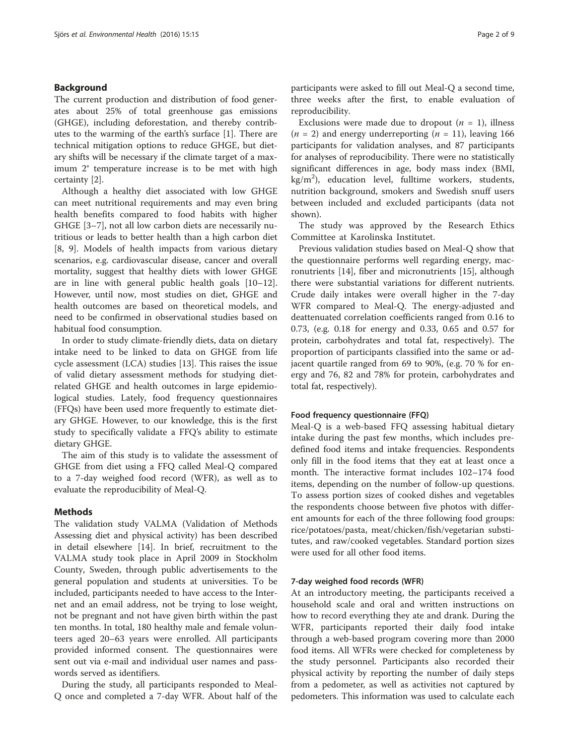## Background

The current production and distribution of food generates about 25% of total greenhouse gas emissions (GHGE), including deforestation, and thereby contributes to the warming of the earth's surface [[1\]](#page-7-0). There are technical mitigation options to reduce GHGE, but dietary shifts will be necessary if the climate target of a maximum 2° temperature increase is to be met with high certainty [\[2](#page-7-0)].

Although a healthy diet associated with low GHGE can meet nutritional requirements and may even bring health benefits compared to food habits with higher GHGE [\[3](#page-7-0)–[7](#page--1-0)], not all low carbon diets are necessarily nutritious or leads to better health than a high carbon diet [[8, 9\]](#page--1-0). Models of health impacts from various dietary scenarios, e.g. cardiovascular disease, cancer and overall mortality, suggest that healthy diets with lower GHGE are in line with general public health goals [[10](#page--1-0)–[12](#page--1-0)]. However, until now, most studies on diet, GHGE and health outcomes are based on theoretical models, and need to be confirmed in observational studies based on habitual food consumption.

In order to study climate-friendly diets, data on dietary intake need to be linked to data on GHGE from life cycle assessment (LCA) studies [[13](#page--1-0)]. This raises the issue of valid dietary assessment methods for studying dietrelated GHGE and health outcomes in large epidemiological studies. Lately, food frequency questionnaires (FFQs) have been used more frequently to estimate dietary GHGE. However, to our knowledge, this is the first study to specifically validate a FFQ's ability to estimate dietary GHGE.

The aim of this study is to validate the assessment of GHGE from diet using a FFQ called Meal-Q compared to a 7-day weighed food record (WFR), as well as to evaluate the reproducibility of Meal-Q.

## Methods

The validation study VALMA (Validation of Methods Assessing diet and physical activity) has been described in detail elsewhere [\[14](#page--1-0)]. In brief, recruitment to the VALMA study took place in April 2009 in Stockholm County, Sweden, through public advertisements to the general population and students at universities. To be included, participants needed to have access to the Internet and an email address, not be trying to lose weight, not be pregnant and not have given birth within the past ten months. In total, 180 healthy male and female volunteers aged 20–63 years were enrolled. All participants provided informed consent. The questionnaires were sent out via e-mail and individual user names and passwords served as identifiers.

During the study, all participants responded to Meal-Q once and completed a 7-day WFR. About half of the

participants were asked to fill out Meal-Q a second time, three weeks after the first, to enable evaluation of reproducibility.

Exclusions were made due to dropout  $(n = 1)$ , illness  $(n = 2)$  and energy underreporting  $(n = 11)$ , leaving 166 participants for validation analyses, and 87 participants for analyses of reproducibility. There were no statistically significant differences in age, body mass index (BMI, kg/m<sup>2</sup> ), education level, fulltime workers, students, nutrition background, smokers and Swedish snuff users between included and excluded participants (data not shown).

The study was approved by the Research Ethics Committee at Karolinska Institutet.

Previous validation studies based on Meal-Q show that the questionnaire performs well regarding energy, macronutrients [\[14](#page--1-0)], fiber and micronutrients [\[15\]](#page--1-0), although there were substantial variations for different nutrients. Crude daily intakes were overall higher in the 7-day WFR compared to Meal-Q. The energy-adjusted and deattenuated correlation coefficients ranged from 0.16 to 0.73, (e.g. 0.18 for energy and 0.33, 0.65 and 0.57 for protein, carbohydrates and total fat, respectively). The proportion of participants classified into the same or adjacent quartile ranged from 69 to 90%, (e.g. 70 % for energy and 76, 82 and 78% for protein, carbohydrates and total fat, respectively).

#### Food frequency questionnaire (FFQ)

Meal-Q is a web-based FFQ assessing habitual dietary intake during the past few months, which includes predefined food items and intake frequencies. Respondents only fill in the food items that they eat at least once a month. The interactive format includes 102–174 food items, depending on the number of follow-up questions. To assess portion sizes of cooked dishes and vegetables the respondents choose between five photos with different amounts for each of the three following food groups: rice/potatoes/pasta, meat/chicken/fish/vegetarian substitutes, and raw/cooked vegetables. Standard portion sizes were used for all other food items.

## 7-day weighed food records (WFR)

At an introductory meeting, the participants received a household scale and oral and written instructions on how to record everything they ate and drank. During the WFR, participants reported their daily food intake through a web-based program covering more than 2000 food items. All WFRs were checked for completeness by the study personnel. Participants also recorded their physical activity by reporting the number of daily steps from a pedometer, as well as activities not captured by pedometers. This information was used to calculate each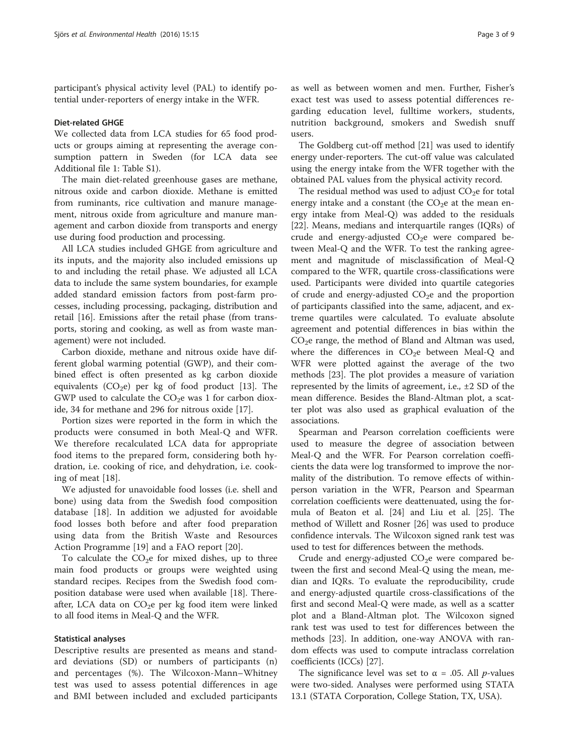participant's physical activity level (PAL) to identify potential under-reporters of energy intake in the WFR.

#### Diet-related GHGE

We collected data from LCA studies for 65 food products or groups aiming at representing the average consumption pattern in Sweden (for LCA data see Additional file [1:](#page-7-0) Table S1).

The main diet-related greenhouse gases are methane, nitrous oxide and carbon dioxide. Methane is emitted from ruminants, rice cultivation and manure management, nitrous oxide from agriculture and manure management and carbon dioxide from transports and energy use during food production and processing.

All LCA studies included GHGE from agriculture and its inputs, and the majority also included emissions up to and including the retail phase. We adjusted all LCA data to include the same system boundaries, for example added standard emission factors from post-farm processes, including processing, packaging, distribution and retail [[16](#page--1-0)]. Emissions after the retail phase (from transports, storing and cooking, as well as from waste management) were not included.

Carbon dioxide, methane and nitrous oxide have different global warming potential (GWP), and their combined effect is often presented as kg carbon dioxide equivalents  $(CO<sub>2</sub>e)$  per kg of food product [[13\]](#page--1-0). The GWP used to calculate the  $CO<sub>2</sub>e$  was 1 for carbon dioxide, 34 for methane and 296 for nitrous oxide [[17\]](#page--1-0).

Portion sizes were reported in the form in which the products were consumed in both Meal-Q and WFR. We therefore recalculated LCA data for appropriate food items to the prepared form, considering both hydration, i.e. cooking of rice, and dehydration, i.e. cooking of meat [\[18](#page--1-0)].

We adjusted for unavoidable food losses (i.e. shell and bone) using data from the Swedish food composition database [\[18](#page--1-0)]. In addition we adjusted for avoidable food losses both before and after food preparation using data from the British Waste and Resources Action Programme [[19\]](#page--1-0) and a FAO report [[20\]](#page--1-0).

To calculate the  $CO<sub>2</sub>e$  for mixed dishes, up to three main food products or groups were weighted using standard recipes. Recipes from the Swedish food composition database were used when available [[18\]](#page--1-0). Thereafter, LCA data on  $CO<sub>2</sub>e$  per kg food item were linked to all food items in Meal-Q and the WFR.

#### Statistical analyses

Descriptive results are presented as means and standard deviations (SD) or numbers of participants (n) and percentages (%). The Wilcoxon-Mann–Whitney test was used to assess potential differences in age and BMI between included and excluded participants

as well as between women and men. Further, Fisher's exact test was used to assess potential differences regarding education level, fulltime workers, students, nutrition background, smokers and Swedish snuff users.

The Goldberg cut-off method [[21\]](#page--1-0) was used to identify energy under-reporters. The cut-off value was calculated using the energy intake from the WFR together with the obtained PAL values from the physical activity record.

The residual method was used to adjust  $CO<sub>2</sub>e$  for total energy intake and a constant (the  $CO<sub>2</sub>e$  at the mean energy intake from Meal-Q) was added to the residuals [[22\]](#page--1-0). Means, medians and interquartile ranges (IQRs) of crude and energy-adjusted  $CO<sub>2</sub>e$  were compared between Meal-Q and the WFR. To test the ranking agreement and magnitude of misclassification of Meal-Q compared to the WFR, quartile cross-classifications were used. Participants were divided into quartile categories of crude and energy-adjusted  $CO<sub>2</sub>e$  and the proportion of participants classified into the same, adjacent, and extreme quartiles were calculated. To evaluate absolute agreement and potential differences in bias within the  $CO<sub>2</sub>e$  range, the method of Bland and Altman was used, where the differences in  $CO<sub>2</sub>e$  between Meal-Q and WFR were plotted against the average of the two methods [[23\]](#page--1-0). The plot provides a measure of variation represented by the limits of agreement, i.e.,  $\pm 2$  SD of the mean difference. Besides the Bland-Altman plot, a scatter plot was also used as graphical evaluation of the associations.

Spearman and Pearson correlation coefficients were used to measure the degree of association between Meal-Q and the WFR. For Pearson correlation coefficients the data were log transformed to improve the normality of the distribution. To remove effects of withinperson variation in the WFR, Pearson and Spearman correlation coefficients were deattenuated, using the formula of Beaton et al. [[24\]](#page--1-0) and Liu et al. [\[25](#page--1-0)]. The method of Willett and Rosner [\[26](#page--1-0)] was used to produce confidence intervals. The Wilcoxon signed rank test was used to test for differences between the methods.

Crude and energy-adjusted  $CO<sub>2</sub>e$  were compared between the first and second Meal-Q using the mean, median and IQRs. To evaluate the reproducibility, crude and energy-adjusted quartile cross-classifications of the first and second Meal-Q were made, as well as a scatter plot and a Bland-Altman plot. The Wilcoxon signed rank test was used to test for differences between the methods [[23](#page--1-0)]. In addition, one-way ANOVA with random effects was used to compute intraclass correlation coefficients (ICCs) [\[27](#page--1-0)].

The significance level was set to  $\alpha$  = .05. All *p*-values were two-sided. Analyses were performed using STATA 13.1 (STATA Corporation, College Station, TX, USA).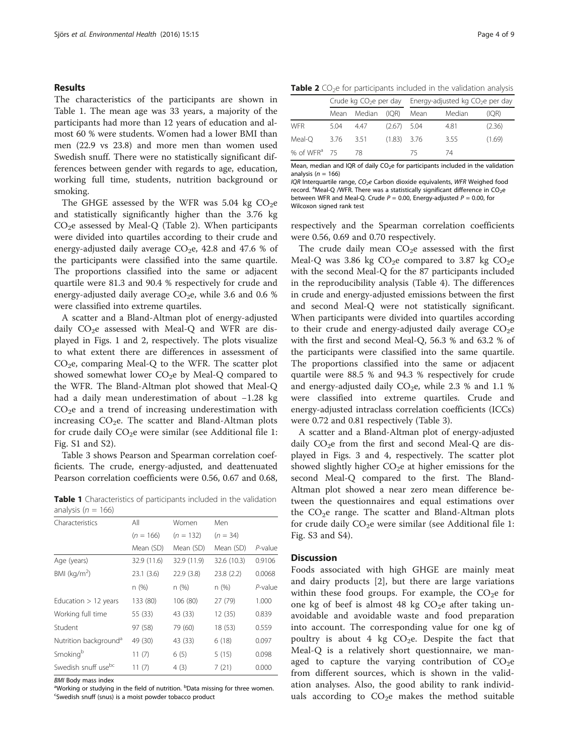#### Results

The characteristics of the participants are shown in Table 1. The mean age was 33 years, a majority of the participants had more than 12 years of education and almost 60 % were students. Women had a lower BMI than men (22.9 vs 23.8) and more men than women used Swedish snuff. There were no statistically significant differences between gender with regards to age, education, working full time, students, nutrition background or smoking.

The GHGE assessed by the WFR was 5.04 kg  $CO<sub>2</sub>e$ and statistically significantly higher than the 3.76 kg  $CO<sub>2</sub>e$  assessed by Meal-Q (Table 2). When participants were divided into quartiles according to their crude and energy-adjusted daily average  $CO<sub>2</sub>e$ , 42.8 and 47.6 % of the participants were classified into the same quartile. The proportions classified into the same or adjacent quartile were 81.3 and 90.4 % respectively for crude and energy-adjusted daily average  $CO<sub>2</sub>e$ , while 3.6 and 0.6 % were classified into extreme quartiles.

A scatter and a Bland-Altman plot of energy-adjusted daily  $CO<sub>2</sub>e$  assessed with Meal-Q and WFR are displayed in Figs. [1](#page-4-0) and [2](#page-4-0), respectively. The plots visualize to what extent there are differences in assessment of  $CO<sub>2</sub>e$ , comparing Meal-Q to the WFR. The scatter plot showed somewhat lower  $CO<sub>2</sub>e$  by Meal-Q compared to the WFR. The Bland-Altman plot showed that Meal-Q had a daily mean underestimation of about −1.28 kg  $CO<sub>2</sub>e$  and a trend of increasing underestimation with increasing  $CO<sub>2</sub>e$ . The scatter and Bland-Altman plots for crude daily  $CO<sub>2</sub>e$  were similar (see Additional file [1](#page-7-0): Fig. S1 and S2).

Table [3](#page-5-0) shows Pearson and Spearman correlation coefficients. The crude, energy-adjusted, and deattenuated Pearson correlation coefficients were 0.56, 0.67 and 0.68,

Table 1 Characteristics of participants included in the validation analysis ( $n = 166$ )

| Characteristics                   | All         | Women       | Men         |            |
|-----------------------------------|-------------|-------------|-------------|------------|
|                                   | $(n = 166)$ | $(n = 132)$ | $(n = 34)$  |            |
|                                   | Mean (SD)   | Mean (SD)   | Mean (SD)   | $P$ -value |
| Age (years)                       | 32.9 (11.6) | 32.9 (11.9) | 32.6 (10.3) | 0.9106     |
| BMI ( $kg/m2$ )                   | 23.1(3.6)   | 22.9(3.8)   | 23.8(2.2)   | 0.0068     |
|                                   | n (%)       | n (%)       | n (%)       | $P$ -value |
| Education $> 12$ years            | 133 (80)    | 106 (80)    | 27 (79)     | 1.000      |
| Working full time                 | 55 (33)     | 43 (33)     | 12(35)      | 0.839      |
| Student                           | 97 (58)     | 79 (60)     | 18 (53)     | 0.559      |
| Nutrition background <sup>a</sup> | 49 (30)     | 43 (33)     | 6(18)       | 0.097      |
| Smoking <sup>b</sup>              | 11(7)       | 6(5)        | 5(15)       | 0.098      |
| Swedish snuff usebc               | 11(7)       | 4(3)        | 7(21)       | 0.000      |

BMI Body mass index<br><sup>a</sup>Working or studying in the field of nutrition. <sup>b</sup>Data missing for three women.<br><sup>cS</sup>wedish spuff (spus) is a moist nowder tobacco product Swedish snuff (snus) is a moist powder tobacco product

**Table 2** CO<sub>2</sub>e for participants included in the validation analysis

|                 | Crude kg $CO2e$ per day |        | Energy-adjusted kg CO <sub>2</sub> e per day |      |        |        |
|-----------------|-------------------------|--------|----------------------------------------------|------|--------|--------|
|                 | Mean                    | Median | (IOR)                                        | Mean | Median | (IOR)  |
| <b>WFR</b>      | 5.04                    | 4.47   | $(2.67)$ 5.04                                |      | 4.81   | (2.36) |
| Meal-O          | 3.76 3.51               |        | $(1.83)$ 3.76                                |      | 3.55   | (1.69) |
| % of WFR $3$ 75 |                         | - 78   |                                              | 75   | 74     |        |

Mean, median and IQR of daily  $CO<sub>2</sub>e$  for participants included in the validation analysis ( $n = 166$ )

IQR Interquartile range, CO2e Carbon dioxide equivalents, WFR Weighed food record. <sup>a</sup>Meal-Q /WFR. There was a statistically significant difference in CO<sub>2</sub>e between WFR and Meal-Q. Crude  $P = 0.00$ , Energy-adjusted  $P = 0.00$ , for Wilcoxon signed rank test

respectively and the Spearman correlation coefficients were 0.56, 0.69 and 0.70 respectively.

The crude daily mean  $CO<sub>2</sub>e$  assessed with the first Meal-Q was 3.86 kg  $CO<sub>2</sub>e$  compared to 3.87 kg  $CO<sub>2</sub>e$ with the second Meal-Q for the 87 participants included in the reproducibility analysis (Table [4\)](#page-5-0). The differences in crude and energy-adjusted emissions between the first and second Meal-Q were not statistically significant. When participants were divided into quartiles according to their crude and energy-adjusted daily average  $CO<sub>2</sub>e$ with the first and second Meal-Q, 56.3 % and 63.2 % of the participants were classified into the same quartile. The proportions classified into the same or adjacent quartile were 88.5 % and 94.3 % respectively for crude and energy-adjusted daily  $CO<sub>2</sub>e$ , while 2.3 % and 1.1 % were classified into extreme quartiles. Crude and energy-adjusted intraclass correlation coefficients (ICCs) were 0.72 and 0.81 respectively (Table [3](#page-5-0)).

A scatter and a Bland-Altman plot of energy-adjusted daily  $CO<sub>2</sub>e$  from the first and second Meal-Q are displayed in Figs. [3](#page-6-0) and [4](#page-6-0), respectively. The scatter plot showed slightly higher  $CO<sub>2</sub>e$  at higher emissions for the second Meal-Q compared to the first. The Bland-Altman plot showed a near zero mean difference between the questionnaires and equal estimations over the  $CO<sub>2</sub>e$  range. The scatter and Bland-Altman plots for crude daily  $CO<sub>2</sub>e$  were similar (see Additional file [1](#page-7-0): Fig. S3 and S4).

## **Discussion**

Foods associated with high GHGE are mainly meat and dairy products [\[2](#page-7-0)], but there are large variations within these food groups. For example, the  $CO<sub>2</sub>e$  for one kg of beef is almost 48 kg  $CO<sub>2</sub>e$  after taking unavoidable and avoidable waste and food preparation into account. The corresponding value for one kg of poultry is about 4 kg  $CO<sub>2</sub>e$ . Despite the fact that Meal-Q is a relatively short questionnaire, we managed to capture the varying contribution of  $CO<sub>2</sub>e$ from different sources, which is shown in the validation analyses. Also, the good ability to rank individuals according to  $CO<sub>2</sub>e$  makes the method suitable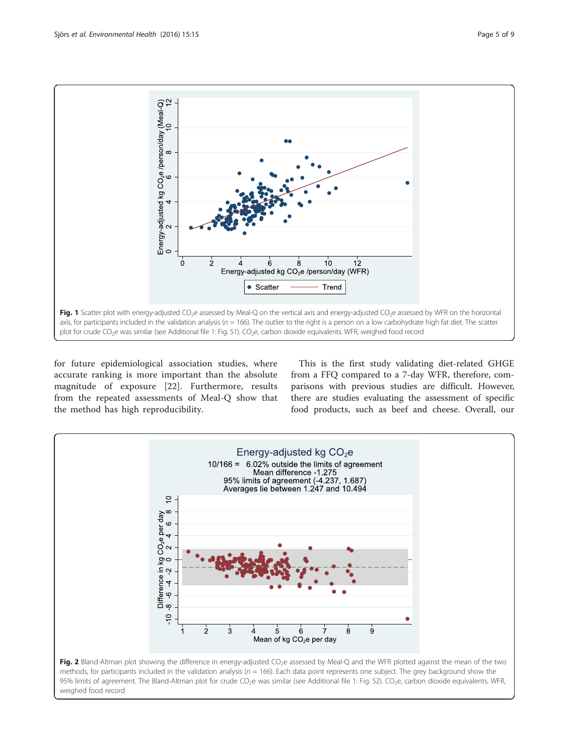<span id="page-4-0"></span>

for future epidemiological association studies, where accurate ranking is more important than the absolute magnitude of exposure [\[22](#page--1-0)]. Furthermore, results from the repeated assessments of Meal-Q show that the method has high reproducibility.

This is the first study validating diet-related GHGE from a FFQ compared to a 7-day WFR, therefore, comparisons with previous studies are difficult. However, there are studies evaluating the assessment of specific food products, such as beef and cheese. Overall, our

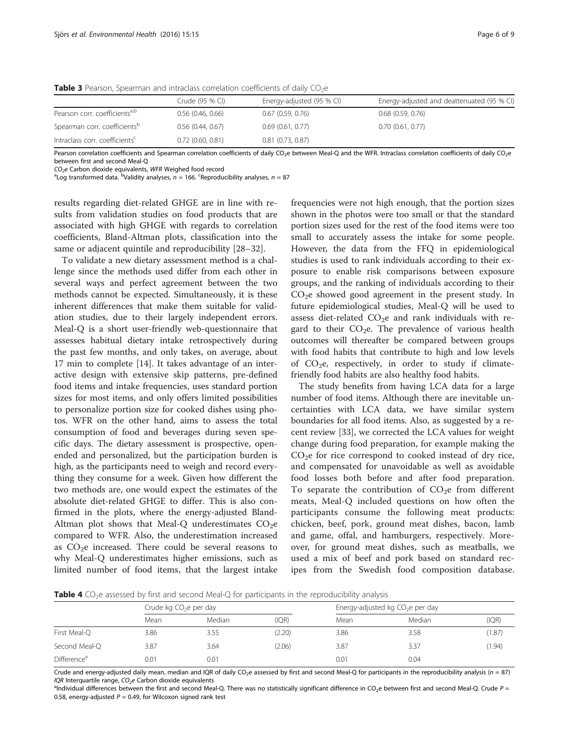|                                            | Crude (95 % CI)     | Energy-adjusted (95 % CI) | Energy-adjusted and deattenuated (95 % CI) |
|--------------------------------------------|---------------------|---------------------------|--------------------------------------------|
| Pearson corr. coefficients <sup>a, D</sup> | 0.56(0.46, 0.66)    | $0.67$ (0.59, 0.76)       | 0.68(0.59, 0.76)                           |
| Spearman corr. coefficients <sup>b</sup>   | 0.56(0.44, 0.67)    | 0.69(0.61, 0.77)          | 0.70(0.61, 0.77)                           |
| Intraclass corr, coefficients <sup>c</sup> | $0.72$ (0.60, 0.81) | $0.81$ $(0.73, 0.87)$     |                                            |

<span id="page-5-0"></span>**Table 3** Pearson, Spearman and intraclass correlation coefficients of daily  $CO<sub>2</sub>e$ 

Pearson correlation coefficients and Spearman correlation coefficients of daily CO<sub>2</sub>e between Meal-Q and the WFR. Intraclass correlation coefficients of daily CO<sub>2</sub>e between first and second Meal-Q

 $CO<sub>2</sub>e$  Carbon dioxide equivalents, WFR Weighed food record

Log transformed data. <sup>b</sup>Validity analyses,  $n = 166$ . <sup>c</sup>Reproducibility analyses,  $n = 87$ 

results regarding diet-related GHGE are in line with results from validation studies on food products that are associated with high GHGE with regards to correlation coefficients, Bland-Altman plots, classification into the same or adjacent quintile and reproducibility [\[28](#page--1-0)–[32\]](#page--1-0).

To validate a new dietary assessment method is a challenge since the methods used differ from each other in several ways and perfect agreement between the two methods cannot be expected. Simultaneously, it is these inherent differences that make them suitable for validation studies, due to their largely independent errors. Meal-Q is a short user-friendly web-questionnaire that assesses habitual dietary intake retrospectively during the past few months, and only takes, on average, about 17 min to complete [[14\]](#page--1-0). It takes advantage of an interactive design with extensive skip patterns, pre-defined food items and intake frequencies, uses standard portion sizes for most items, and only offers limited possibilities to personalize portion size for cooked dishes using photos. WFR on the other hand, aims to assess the total consumption of food and beverages during seven specific days. The dietary assessment is prospective, openended and personalized, but the participation burden is high, as the participants need to weigh and record everything they consume for a week. Given how different the two methods are, one would expect the estimates of the absolute diet-related GHGE to differ. This is also confirmed in the plots, where the energy-adjusted Bland-Altman plot shows that Meal-Q underestimates  $CO<sub>2</sub>e$ compared to WFR. Also, the underestimation increased as  $CO<sub>2</sub>e$  increased. There could be several reasons to why Meal-Q underestimates higher emissions, such as limited number of food items, that the largest intake

frequencies were not high enough, that the portion sizes shown in the photos were too small or that the standard portion sizes used for the rest of the food items were too small to accurately assess the intake for some people. However, the data from the FFQ in epidemiological studies is used to rank individuals according to their exposure to enable risk comparisons between exposure groups, and the ranking of individuals according to their  $CO<sub>2</sub>e$  showed good agreement in the present study. In future epidemiological studies, Meal-Q will be used to assess diet-related  $CO<sub>2</sub>e$  and rank individuals with regard to their  $CO<sub>2</sub>e$ . The prevalence of various health outcomes will thereafter be compared between groups with food habits that contribute to high and low levels of  $CO<sub>2</sub>e$ , respectively, in order to study if climatefriendly food habits are also healthy food habits.

The study benefits from having LCA data for a large number of food items. Although there are inevitable uncertainties with LCA data, we have similar system boundaries for all food items. Also, as suggested by a recent review [[33](#page--1-0)], we corrected the LCA values for weight change during food preparation, for example making the  $CO<sub>2</sub>e$  for rice correspond to cooked instead of dry rice, and compensated for unavoidable as well as avoidable food losses both before and after food preparation. To separate the contribution of  $CO<sub>2</sub>e$  from different meats, Meal-Q included questions on how often the participants consume the following meat products: chicken, beef, pork, ground meat dishes, bacon, lamb and game, offal, and hamburgers, respectively. Moreover, for ground meat dishes, such as meatballs, we used a mix of beef and pork based on standard recipes from the Swedish food composition database.

**Table 4** CO<sub>2</sub>e assessed by first and second Meal-Q for participants in the reproducibility analysis

|                         | Crude kg $CO2e$ per day |        |        | Energy-adjusted kg $CO2e$ per day |        |        |  |
|-------------------------|-------------------------|--------|--------|-----------------------------------|--------|--------|--|
|                         | Mean                    | Median | (IQR)  | Mean                              | Median | (IQR)  |  |
| First Meal-Q            | 3.86                    | 3.55   | (2.20) | 3.86                              | 3.58   | (1.87) |  |
| Second Meal-Q           | 3.87                    | 3.64   | (2.06) | 3.87                              | 3.37   | (1.94) |  |
| Difference <sup>a</sup> | 0.01                    | 0.01   |        | 0.01                              | 0.04   |        |  |

Crude and energy-adjusted daily mean, median and IQR of daily CO<sub>2</sub>e assessed by first and second Meal-Q for participants in the reproducibility analysis (n = 87)<br>IOR Interguartile range. CO<sub>2</sub>e Carbon dioxide equivalents IQR Interquartile range, CO<sub>2</sub>e Carbon dioxide equivalents<br><sup>a</sup>Individual differences between the first and second Meal-Q. There was no statistically significant difference in CO<sub>2</sub>e between first and second Meal-Q. Crude P

0.58, energy-adjusted  $P = 0.49$ , for Wilcoxon signed rank test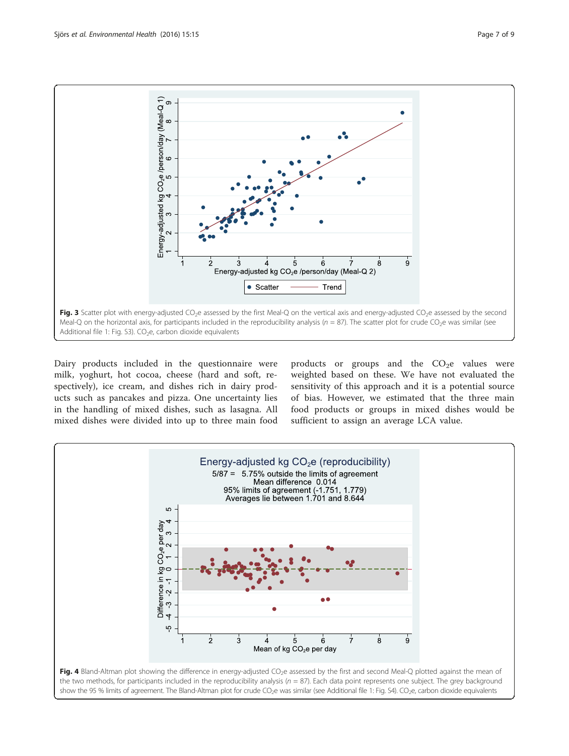<span id="page-6-0"></span>

Dairy products included in the questionnaire were milk, yoghurt, hot cocoa, cheese (hard and soft, respectively), ice cream, and dishes rich in dairy products such as pancakes and pizza. One uncertainty lies in the handling of mixed dishes, such as lasagna. All mixed dishes were divided into up to three main food products or groups and the  $CO<sub>2</sub>e$  values were weighted based on these. We have not evaluated the sensitivity of this approach and it is a potential source of bias. However, we estimated that the three main food products or groups in mixed dishes would be sufficient to assign an average LCA value.

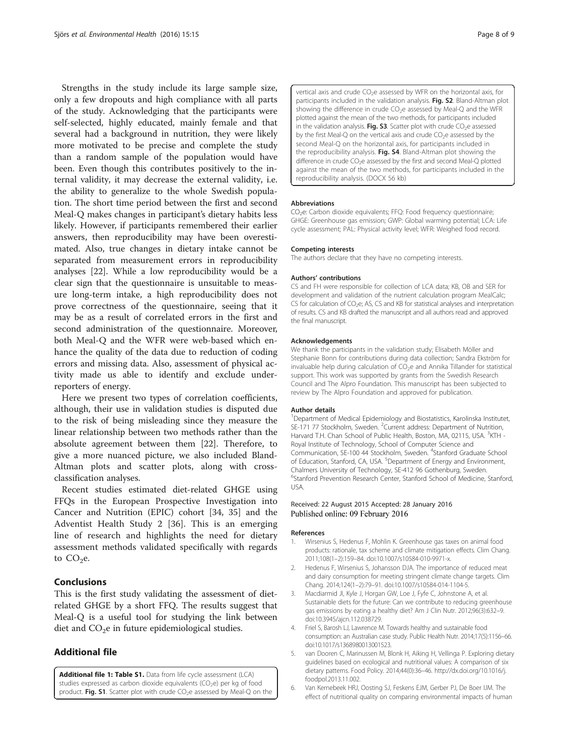<span id="page-7-0"></span>Strengths in the study include its large sample size, only a few dropouts and high compliance with all parts of the study. Acknowledging that the participants were self-selected, highly educated, mainly female and that several had a background in nutrition, they were likely more motivated to be precise and complete the study than a random sample of the population would have been. Even though this contributes positively to the internal validity, it may decrease the external validity, i.e. the ability to generalize to the whole Swedish population. The short time period between the first and second Meal-Q makes changes in participant's dietary habits less likely. However, if participants remembered their earlier answers, then reproducibility may have been overestimated. Also, true changes in dietary intake cannot be separated from measurement errors in reproducibility analyses [[22\]](#page--1-0). While a low reproducibility would be a clear sign that the questionnaire is unsuitable to measure long-term intake, a high reproducibility does not prove correctness of the questionnaire, seeing that it may be as a result of correlated errors in the first and second administration of the questionnaire. Moreover, both Meal-Q and the WFR were web-based which enhance the quality of the data due to reduction of coding errors and missing data. Also, assessment of physical activity made us able to identify and exclude underreporters of energy.

Here we present two types of correlation coefficients, although, their use in validation studies is disputed due to the risk of being misleading since they measure the linear relationship between two methods rather than the absolute agreement between them [[22](#page--1-0)]. Therefore, to give a more nuanced picture, we also included Bland-Altman plots and scatter plots, along with crossclassification analyses.

Recent studies estimated diet-related GHGE using FFQs in the European Prospective Investigation into Cancer and Nutrition (EPIC) cohort [\[34](#page--1-0), [35](#page--1-0)] and the Adventist Health Study 2 [[36\]](#page--1-0). This is an emerging line of research and highlights the need for dietary assessment methods validated specifically with regards to  $CO<sub>2</sub>e$ .

## **Conclusions**

This is the first study validating the assessment of dietrelated GHGE by a short FFQ. The results suggest that Meal-Q is a useful tool for studying the link between diet and  $CO<sub>2</sub>e$  in future epidemiological studies.

## Additional file

[Additional file 1: Table S1.](dx.doi.org/10.1186/s12940-016-0110-7) Data from life cycle assessment (LCA) studies expressed as carbon dioxide equivalents (CO<sub>2</sub>e) per kg of food product. Fig. S1. Scatter plot with crude  $CO<sub>2</sub>e$  assessed by Meal-Q on the vertical axis and crude CO<sub>2</sub>e assessed by WFR on the horizontal axis, for participants included in the validation analysis. Fig. S2. Bland-Altman plot showing the difference in crude CO<sub>2</sub>e assessed by Meal-Q and the WFR plotted against the mean of the two methods, for participants included in the validation analysis. Fig.  $S3$ . Scatter plot with crude CO<sub>2</sub>e assessed by the first Meal-Q on the vertical axis and crude  $CO<sub>2</sub>e$  assessed by the second Meal-Q on the horizontal axis, for participants included in the reproducibility analysis. Fig. S4. Bland-Altman plot showing the difference in crude CO<sub>2</sub>e assessed by the first and second Meal-Q plotted against the mean of the two methods, for participants included in the reproducibility analysis. (DOCX 56 kb)

#### Abbreviations

CO<sub>2</sub>e: Carbon dioxide equivalents; FFQ: Food frequency questionnaire; GHGE: Greenhouse gas emission; GWP: Global warming potential; LCA: Life cycle assessment; PAL: Physical activity level; WFR: Weighed food record.

#### Competing interests

The authors declare that they have no competing interests.

#### Authors' contributions

CS and FH were responsible for collection of LCA data; KB, OB and SER for development and validation of the nutrient calculation program MealCalc;  $CS$  for calculation of  $CO<sub>2</sub>e$ ; AS, CS and KB for statistical analyses and interpretation of results. CS and KB drafted the manuscript and all authors read and approved the final manuscript.

#### Acknowledgements

We thank the participants in the validation study; Elisabeth Möller and Stephanie Bonn for contributions during data collection; Sandra Ekström for invaluable help during calculation of  $CO<sub>2</sub>e$  and Annika Tillander for statistical support. This work was supported by grants from the Swedish Research Council and The Alpro Foundation. This manuscript has been subjected to review by The Alpro Foundation and approved for publication.

#### Author details

<sup>1</sup>Department of Medical Epidemiology and Biostatistics, Karolinska Institutet, SE-171 77 Stockholm, Sweden. <sup>2</sup>Current address: Department of Nutrition Harvard T.H. Chan School of Public Health, Boston, MA, 02115, USA. <sup>3</sup>KTH -Royal Institute of Technology, School of Computer Science and Communication, SE-100 44 Stockholm, Sweden. <sup>4</sup> Stanford Graduate School of Education, Stanford, CA, USA. <sup>5</sup>Department of Energy and Environment Chalmers University of Technology, SE-412 96 Gothenburg, Sweden. <sup>6</sup>Stanford Prevention Research Center, Stanford School of Medicine, Stanford USA.

#### Received: 22 August 2015 Accepted: 28 January 2016 Published online: 09 February 2016

#### References

- 1. Wirsenius S, Hedenus F, Mohlin K. Greenhouse gas taxes on animal food products: rationale, tax scheme and climate mitigation effects. Clim Chang. 2011;108(1–2):159–84. doi[:10.1007/s10584-010-9971-x](http://dx.doi.org/10.1007/s10584-010-9971-x).
- 2. Hedenus F, Wirsenius S, Johansson DJA. The importance of reduced meat and dairy consumption for meeting stringent climate change targets. Clim Chang. 2014;124(1–2):79–91. doi:[10.1007/s10584-014-1104-5](http://dx.doi.org/10.1007/s10584-014-1104-5).
- 3. Macdiarmid JI, Kyle J, Horgan GW, Loe J, Fyfe C, Johnstone A, et al. Sustainable diets for the future: Can we contribute to reducing greenhouse gas emissions by eating a healthy diet? Am J Clin Nutr. 2012;96(3):632–9. doi[:10.3945/ajcn.112.038729.](http://dx.doi.org/10.3945/ajcn.112.038729)
- 4. Friel S, Barosh LJ, Lawrence M. Towards healthy and sustainable food consumption: an Australian case study. Public Health Nutr. 2014;17(5):1156–66. doi:[10.1017/s1368980013001523.](http://dx.doi.org/10.1017/s1368980013001523)
- 5. van Dooren C, Marinussen M, Blonk H, Aiking H, Vellinga P. Exploring dietary guidelines based on ecological and nutritional values: A comparison of six dietary patterns. Food Policy. 2014;44(0):36–46. [http://dx.doi.org/10.1016/j.](http://dx.doi.org/10.1016/j.foodpol.2013.11.002) [foodpol.2013.11.002](http://dx.doi.org/10.1016/j.foodpol.2013.11.002).
- 6. Van Kernebeek HRJ, Oosting SJ, Feskens EJM, Gerber PJ, De Boer IJM. The effect of nutritional quality on comparing environmental impacts of human